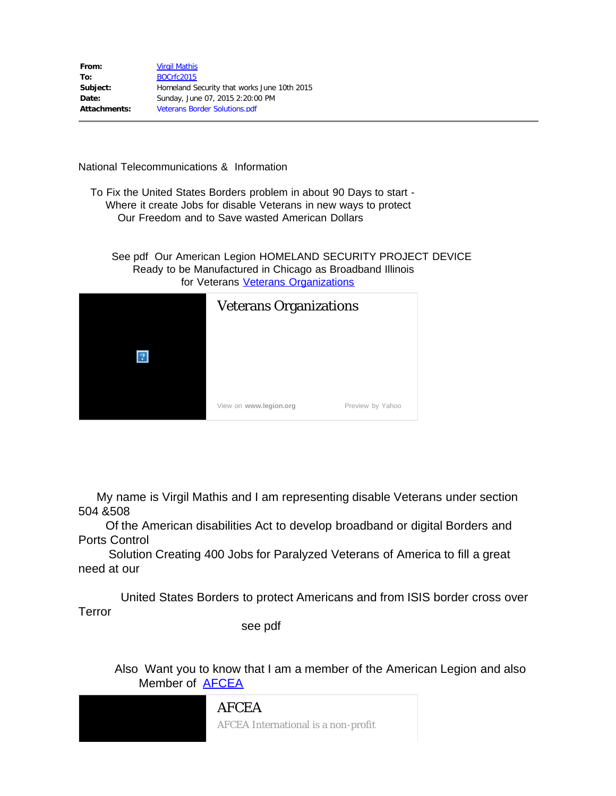| From:        | <b>Virgil Mathis</b>                        |
|--------------|---------------------------------------------|
| To:          | <b>BOCrfc2015</b>                           |
| Subject:     | Homeland Security that works June 10th 2015 |
| Date:        | Sunday, June 07, 2015 2:20:00 PM            |
| Attachments: | <b>Veterans Border Solutions.pdf</b>        |

National Telecommunications & Information

 To Fix the United States Borders problem in about 90 Days to start - Where it create Jobs for disable Veterans in new ways to protect Our Freedom and to Save wasted American Dollars

See pdf Our American Legion HOMELAND SECURITY PROJECT DEVICE Ready to be Manufactured in Chicago as Broadband Illinois for Veterans [Veterans Organizations](http://www.legion.org/)

|  | <b>Veterans Organizations</b> |                  |
|--|-------------------------------|------------------|
|  | View on www.legion.org        | Preview by Yahoo |

 My name is Virgil Mathis and I am representing disable Veterans under section 504 &508

Of the American disabilities Act to develop broadband or digital Borders and Ports Control

 Solution Creating 400 Jobs for Paralyzed Veterans of America to fill a great need at our

 United States Borders to protect Americans and from ISIS border cross over Terror

see pdf

 Also Want you to know that I am a member of the American Legion and also Member of [AFCEA](http://www.afcea.org/)

> [AFCEA](http://www.afcea.org/) AFCEA International is a non-profit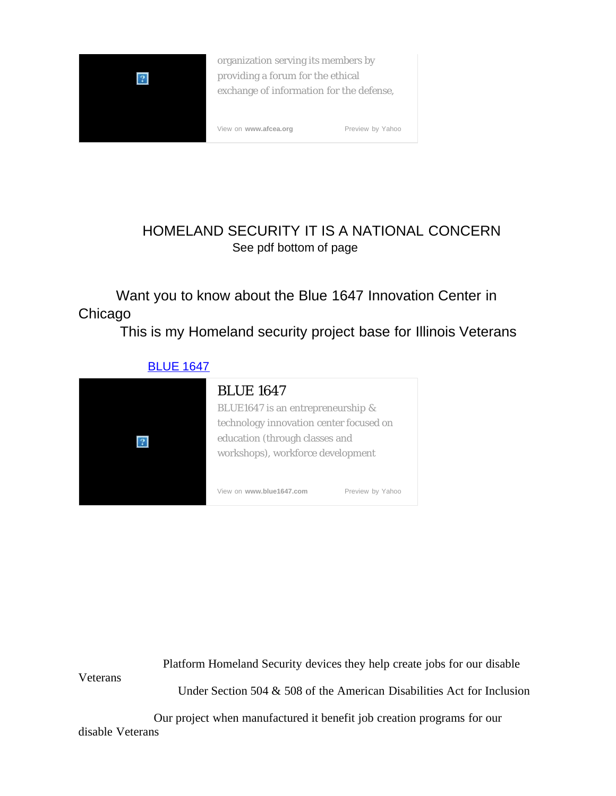

**Veterans** 

organization serving its members by providing a forum for the ethical exchange of information for the defense,

[View on](http://www.afcea.org/) **[www.afcea.org](http://www.afcea.org/)** Preview by Yahoo

## HOMELAND SECURITY IT IS A NATIONAL CONCERN See pdf bottom of page

 Want you to know about the Blue 1647 Innovation Center in Chicago

This is my Homeland security project base for Illinois Veterans



Platform Homeland Security devices they help create jobs for our disable

Under Section 504 & 508 of the American Disabilities Act for Inclusion

 Our project when manufactured it benefit job creation programs for our disable Veterans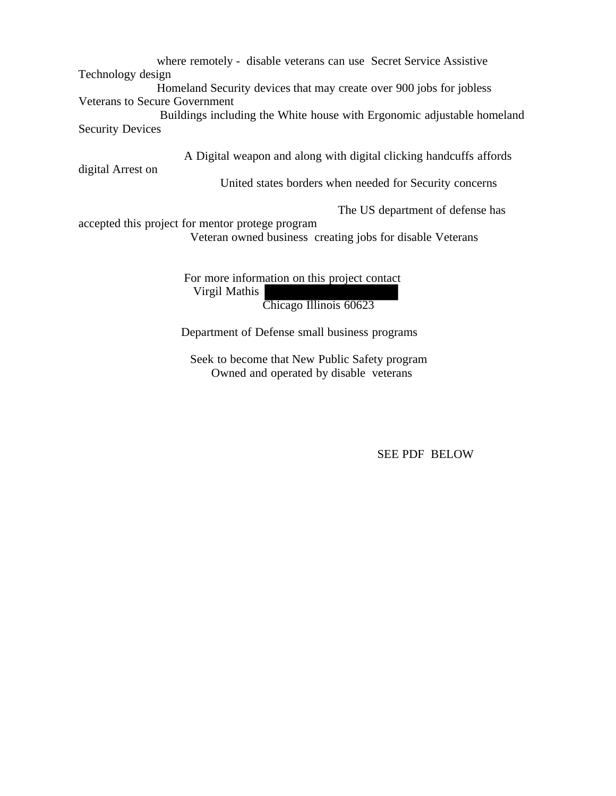where remotely - disable veterans can use Secret Service Assistive Technology design

Homeland Security devices that may create over 900 jobs for jobless Veterans to Secure Government

 Buildings including the White house with Ergonomic adjustable homeland Security Devices

A Digital weapon and along with digital clicking handcuffs affords

digital Arrest on

United states borders when needed for Security concerns

The US department of defense has

accepted this project for mentor protege program Veteran owned business creating jobs for disable Veterans

> For more information on this project contact Virgil Mathis Chicago Illinois 60623

Department of Defense small business programs

 Seek to become that New Public Safety program Owned and operated by disable veterans

SEE PDF BELOW